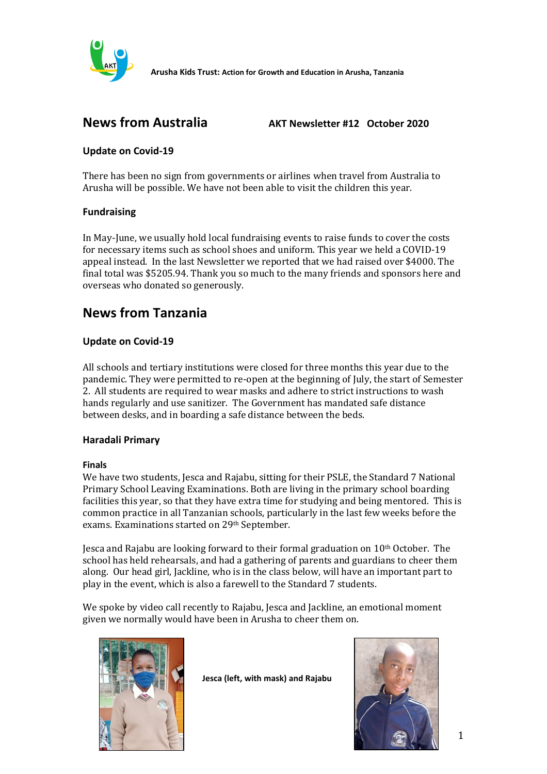

**Arusha Kids Trust: Action for Growth and Education in Arusha, Tanzania**

**News from Australia AKT Newsletter #12 October 2020**

# **Update on Covid-19**

There has been no sign from governments or airlines when travel from Australia to Arusha will be possible. We have not been able to visit the children this year.

# **Fundraising**

In May-June, we usually hold local fundraising events to raise funds to cover the costs for necessary items such as school shoes and uniform. This year we held a COVID-19 appeal instead. In the last Newsletter we reported that we had raised over \$4000. The final total was \$5205.94. Thank you so much to the many friends and sponsors here and overseas who donated so generously.

# **News from Tanzania**

# **Update on Covid-19**

All schools and tertiary institutions were closed for three months this year due to the pandemic. They were permitted to re-open at the beginning of July, the start of Semester 2. All students are required to wear masks and adhere to strict instructions to wash hands regularly and use sanitizer. The Government has mandated safe distance between desks, and in boarding a safe distance between the beds.

# **Haradali Primary**

### **Finals**

We have two students, Jesca and Rajabu, sitting for their PSLE, the Standard 7 National Primary School Leaving Examinations. Both are living in the primary school boarding facilities this year, so that they have extra time for studying and being mentored. This is common practice in all Tanzanian schools, particularly in the last few weeks before the exams. Examinations started on 29th September.

Jesca and Rajabu are looking forward to their formal graduation on 10<sup>th</sup> October. The school has held rehearsals, and had a gathering of parents and guardians to cheer them along. Our head girl, Jackline, who is in the class below, will have an important part to play in the event, which is also a farewell to the Standard 7 students.

We spoke by video call recently to Rajabu, Jesca and Jackline, an emotional moment given we normally would have been in Arusha to cheer them on.



 **Jesca (left, with mask) and Rajabu**

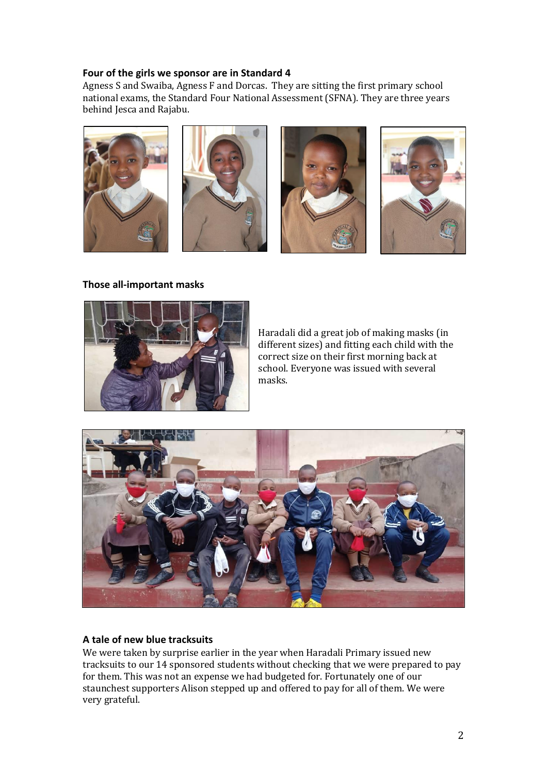### **Four of the girls we sponsor are in Standard 4**

Agness S and Swaiba, Agness F and Dorcas. They are sitting the first primary school national exams, the Standard Four National Assessment (SFNA). They are three years behind Jesca and Rajabu.



#### **Those all-important masks**



Haradali did a great job of making masks (in different sizes) and fitting each child with the correct size on their first morning back at school. Everyone was issued with several masks.



### **A tale of new blue tracksuits**

We were taken by surprise earlier in the year when Haradali Primary issued new tracksuits to our 14 sponsored students without checking that we were prepared to pay for them. This was not an expense we had budgeted for. Fortunately one of our staunchest supporters Alison stepped up and offered to pay for all of them. We were very grateful.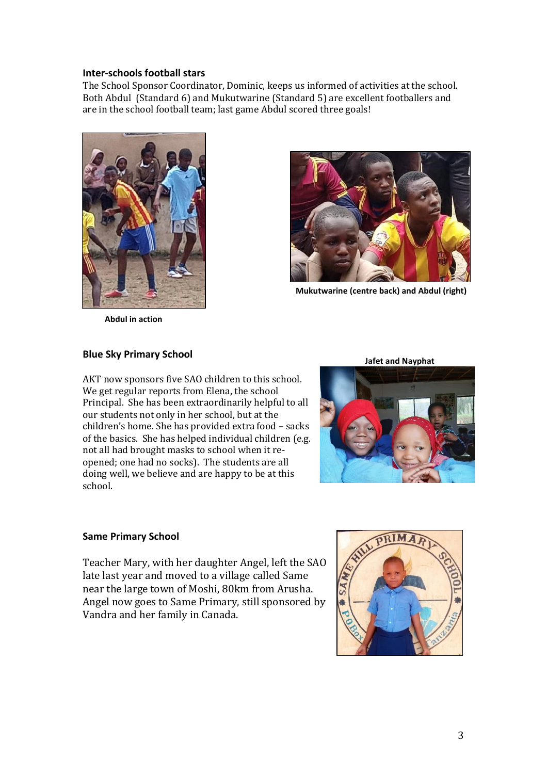### **Inter-schools football stars**

The School Sponsor Coordinator, Dominic, keeps us informed of activities at the school. Both Abdul (Standard 6) and Mukutwarine (Standard 5) are excellent footballers and are in the school football team; last game Abdul scored three goals!





**Mukutwarine (centre back) and Abdul (right)**

**Abdul in action**

#### **Blue Sky Primary School**

AKT now sponsors five SAO children to this school. We get regular reports from Elena, the school Principal. She has been extraordinarily helpful to all our students not only in her school, but at the children's home. She has provided extra food – sacks of the basics. She has helped individual children (e.g. not all had brought masks to school when it reopened; one had no socks). The students are all doing well, we believe and are happy to be at this school.

**Jafet and Nayphat** 



### **Same Primary School**

Teacher Mary, with her daughter Angel, left the SAO late last year and moved to a village called Same near the large town of Moshi, 80km from Arusha. Angel now goes to Same Primary, still sponsored by Vandra and her family in Canada.